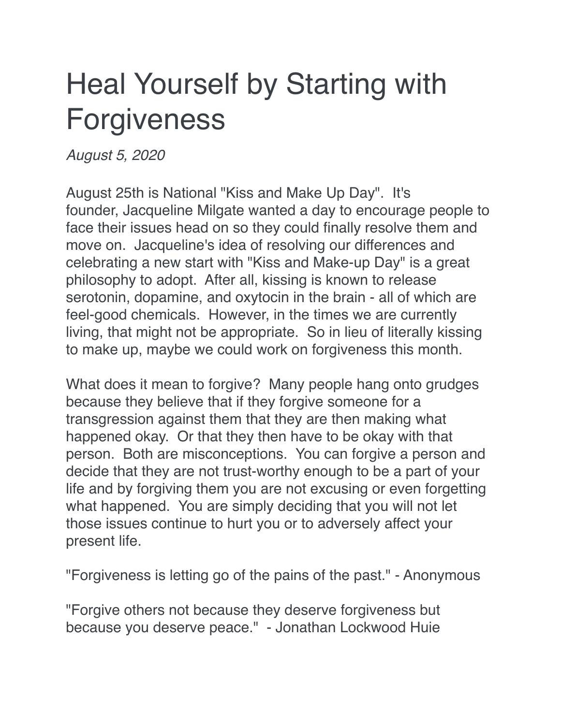## Heal Yourself by Starting with Forgiveness

*August 5, 2020*

August 25th is National "Kiss and Make Up Day". It's founder, Jacqueline Milgate wanted a day to encourage people to face their issues head on so they could finally resolve them and move on. Jacqueline's idea of resolving our differences and celebrating a new start with "Kiss and Make-up Day" is a great philosophy to adopt. After all, kissing is known to release serotonin, dopamine, and oxytocin in the brain - all of which are feel-good chemicals. However, in the times we are currently living, that might not be appropriate. So in lieu of literally kissing to make up, maybe we could work on forgiveness this month.

What does it mean to forgive? Many people hang onto grudges because they believe that if they forgive someone for a transgression against them that they are then making what happened okay. Or that they then have to be okay with that person. Both are misconceptions. You can forgive a person and decide that they are not trust-worthy enough to be a part of your life and by forgiving them you are not excusing or even forgetting what happened. You are simply deciding that you will not let those issues continue to hurt you or to adversely affect your present life.

"Forgiveness is letting go of the pains of the past." - Anonymous

"Forgive others not because they deserve forgiveness but because you deserve peace." - Jonathan Lockwood Huie